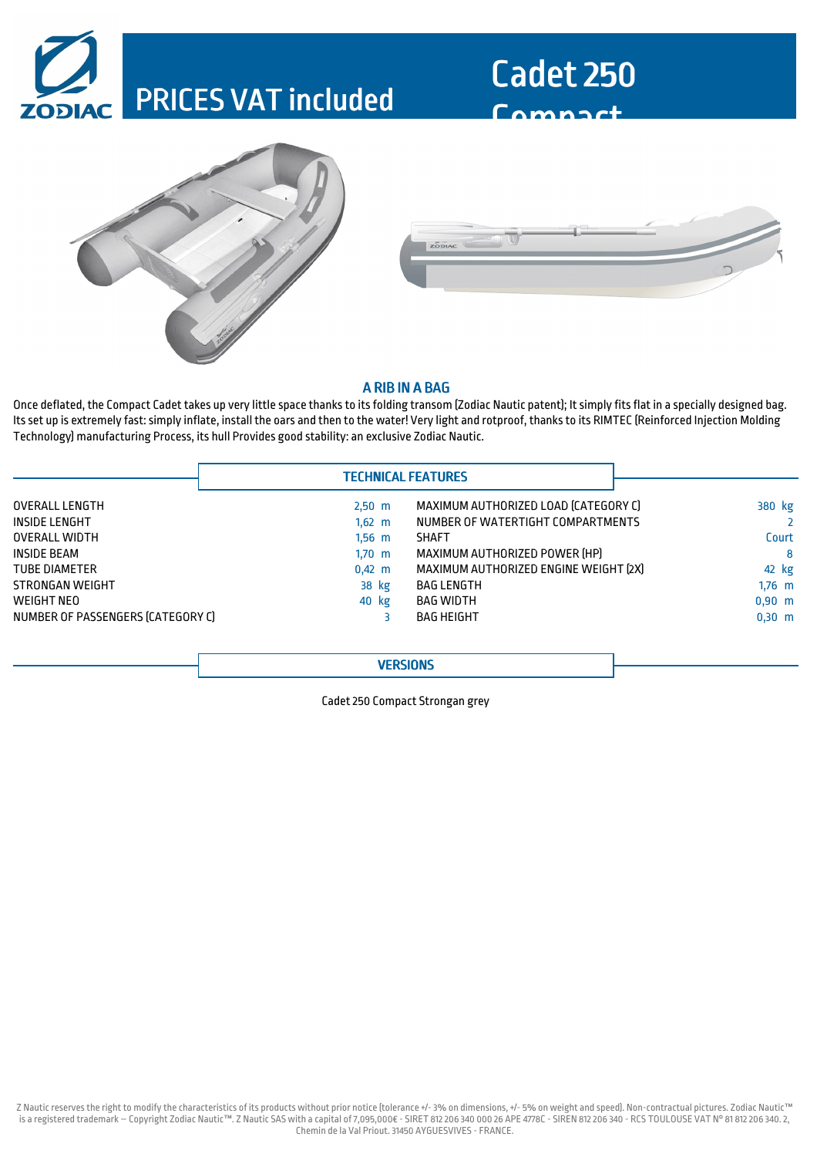## PRICES VAT included



Cadet 250

Compact

#### A RIB IN A BAG

Once deflated, the Compact Cadet takes up very little space thanks to its folding transom (Zodiac Nautic patent); It simply fits flat in a specially designed bag. Itsset up is extremely fast:simply inflate, install the oars and then to the water! Very light and rotproof, thanksto its RIMTEC (Reinforced Injection Molding Technology) manufacturing Process, its hull Provides good stability: an exclusive Zodiac Nautic.

| <b>TECHNICAL FEATURES</b> |
|---------------------------|
|---------------------------|

| OVERALL LENGTH                    | $2,50 \, m$      | MAXIMUM AUTHORIZED LOAD (CATEGORY C)  | 380 kg      |
|-----------------------------------|------------------|---------------------------------------|-------------|
| INSIDE LENGHT                     | $1,62 \text{ m}$ | NUMBER OF WATERTIGHT COMPARTMENTS     |             |
| <b>OVERALL WIDTH</b>              | $1.56$ m         | <b>SHAFT</b>                          | Court       |
| INSIDE BEAM                       | $1,70 \, m$      | MAXIMUM AUTHORIZED POWER [HP]         | 8           |
| <b>TUBE DIAMETER</b>              | $0,42 \, m$      | MAXIMUM AUTHORIZED ENGINE WEIGHT [2X] | 42 kg       |
| STRONGAN WEIGHT                   | 38 kg            | BAG LENGTH                            | $1,76$ m    |
| WEIGHT NEO                        | 40 kg            | BAG WIDTH                             | $0.90 \, m$ |
| NUMBER OF PASSENGERS (CATEGORY C) |                  | BAG HEIGHT                            | $0,30 \, m$ |
|                                   |                  |                                       |             |

**VERSIONS** 

Cadet 250 Compact Strongan grey